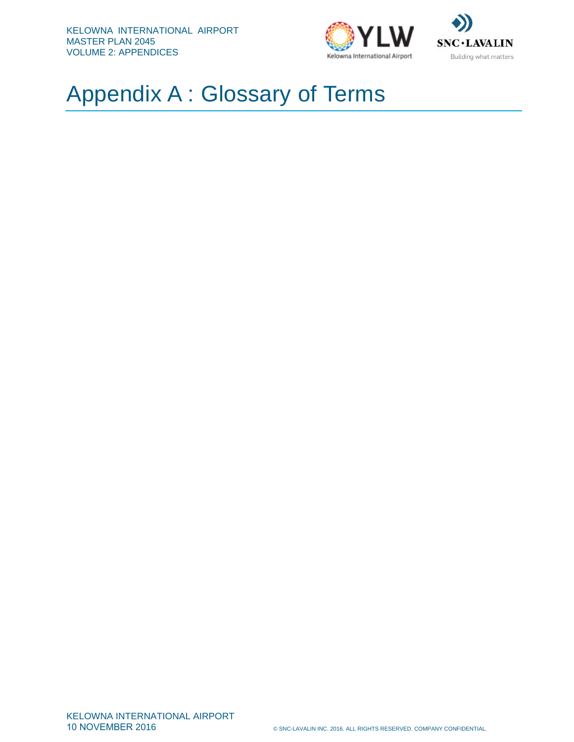



# Appendix A : Glossary of Terms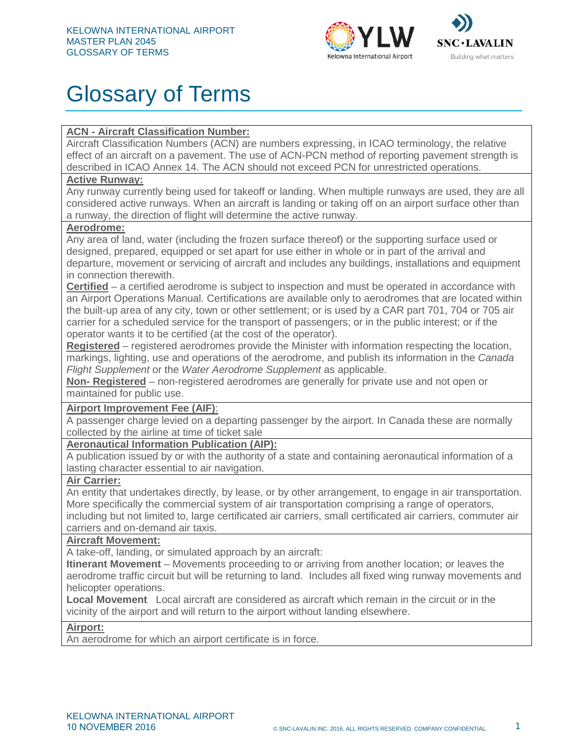



# Glossary of Terms

# **ACN - Aircraft Classification Number:**

Aircraft Classification Numbers (ACN) are numbers expressing, in ICAO terminology, the relative effect of an aircraft on a pavement. The use of ACN-PCN method of reporting pavement strength is described in ICAO Annex 14. The ACN should not exceed PCN for unrestricted operations.

### **Active Runway:**

Any runway currently being used for takeoff or landing. When multiple runways are used, they are all considered active runways. When an aircraft is landing or taking off on an airport surface other than a runway, the direction of flight will determine the active runway.

# **Aerodrome:**

Any area of land, water (including the frozen surface thereof) or the supporting surface used or designed, prepared, equipped or set apart for use either in whole or in part of the arrival and departure, movement or servicing of aircraft and includes any buildings, installations and equipment in connection therewith.

**Certified** – a certified aerodrome is subject to inspection and must be operated in accordance with an Airport Operations Manual. Certifications are available only to aerodromes that are located within the built-up area of any city, town or other settlement; or is used by a CAR part 701, 704 or 705 air carrier for a scheduled service for the transport of passengers; or in the public interest; or if the operator wants it to be certified (at the cost of the operator).

**Registered** – registered aerodromes provide the Minister with information respecting the location, markings, lighting, use and operations of the aerodrome, and publish its information in the *Canada Flight Supplement* or the *Water Aerodrome Supplement* as applicable.

**Non- Registered** – non-registered aerodromes are generally for private use and not open or maintained for public use.

# **Airport Improvement Fee (AIF)**:

A passenger charge levied on a departing passenger by the airport. In Canada these are normally collected by the airline at time of ticket sale

# **Aeronautical Information Publication (AIP):**

A publication issued by or with the authority of a state and containing aeronautical information of a lasting character essential to air navigation.

# **Air Carrier:**

An entity that undertakes directly, by lease, or by other arrangement, to engage in air transportation. More specifically the commercial system of air transportation comprising a range of operators, including but not limited to, large certificated air carriers, small certificated air carriers, commuter air carriers and on-demand air taxis.

# **Aircraft Movement:**

A take-off, landing, or simulated approach by an aircraft:

**Itinerant Movement** – Movements proceeding to or arriving from another location; or leaves the aerodrome traffic circuit but will be returning to land. Includes all fixed wing runway movements and helicopter operations.

**Local Movement** Local aircraft are considered as aircraft which remain in the circuit or in the vicinity of the airport and will return to the airport without landing elsewhere.

#### **Airport:**

An aerodrome for which an airport certificate is in force.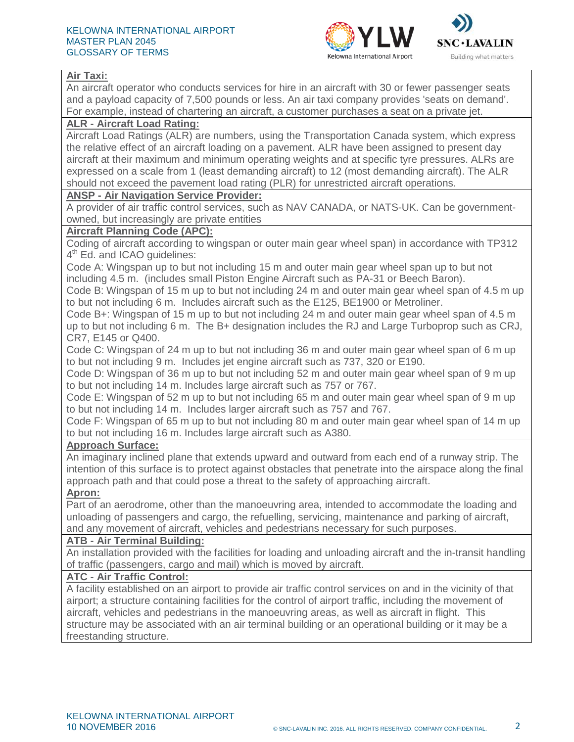



### **Air Taxi:**

An aircraft operator who conducts services for hire in an aircraft with 30 or fewer passenger seats and a payload capacity of 7,500 pounds or less. An air taxi company provides 'seats on demand'. For example, instead of chartering an aircraft, a customer purchases a seat on a private jet.

# **ALR - Aircraft Load Rating:**

Aircraft Load Ratings (ALR) are numbers, using the Transportation Canada system, which express the relative effect of an aircraft loading on a pavement. ALR have been assigned to present day aircraft at their maximum and minimum operating weights and at specific tyre pressures. ALRs are expressed on a scale from 1 (least demanding aircraft) to 12 (most demanding aircraft). The ALR should not exceed the pavement load rating (PLR) for unrestricted aircraft operations.

#### **ANSP - Air Navigation Service Provider:**

A provider of air traffic control services, such as NAV CANADA, or NATS-UK. Can be governmentowned, but increasingly are private entities

#### **Aircraft Planning Code (APC):**

Coding of aircraft according to wingspan or outer main gear wheel span) in accordance with TP312  $4<sup>th</sup>$  Ed. and ICAO guidelines:

Code A: Wingspan up to but not including 15 m and outer main gear wheel span up to but not including 4.5 m. (includes small Piston Engine Aircraft such as PA-31 or Beech Baron).

Code B: Wingspan of 15 m up to but not including 24 m and outer main gear wheel span of 4.5 m up to but not including 6 m. Includes aircraft such as the E125, BE1900 or Metroliner.

Code B+: Wingspan of 15 m up to but not including 24 m and outer main gear wheel span of 4.5 m up to but not including 6 m. The B+ designation includes the RJ and Large Turboprop such as CRJ, CR7, E145 or Q400.

Code C: Wingspan of 24 m up to but not including 36 m and outer main gear wheel span of 6 m up to but not including 9 m. Includes jet engine aircraft such as 737, 320 or E190.

Code D: Wingspan of 36 m up to but not including 52 m and outer main gear wheel span of 9 m up to but not including 14 m. Includes large aircraft such as 757 or 767.

Code E: Wingspan of 52 m up to but not including 65 m and outer main gear wheel span of 9 m up to but not including 14 m. Includes larger aircraft such as 757 and 767.

Code F: Wingspan of 65 m up to but not including 80 m and outer main gear wheel span of 14 m up to but not including 16 m. Includes large aircraft such as A380.

#### **Approach Surface:**

An imaginary inclined plane that extends upward and outward from each end of a runway strip. The intention of this surface is to protect against obstacles that penetrate into the airspace along the final approach path and that could pose a threat to the safety of approaching aircraft.

#### **Apron:**

Part of an aerodrome, other than the manoeuvring area, intended to accommodate the loading and unloading of passengers and cargo, the refuelling, servicing, maintenance and parking of aircraft, and any movement of aircraft, vehicles and pedestrians necessary for such purposes.

# **ATB - Air Terminal Building:**

An installation provided with the facilities for loading and unloading aircraft and the in-transit handling of traffic (passengers, cargo and mail) which is moved by aircraft.

# **ATC - Air Traffic Control:**

A facility established on an airport to provide air traffic control services on and in the vicinity of that airport; a structure containing facilities for the control of airport traffic, including the movement of aircraft, vehicles and pedestrians in the manoeuvring areas, as well as aircraft in flight. This structure may be associated with an air terminal building or an operational building or it may be a freestanding structure.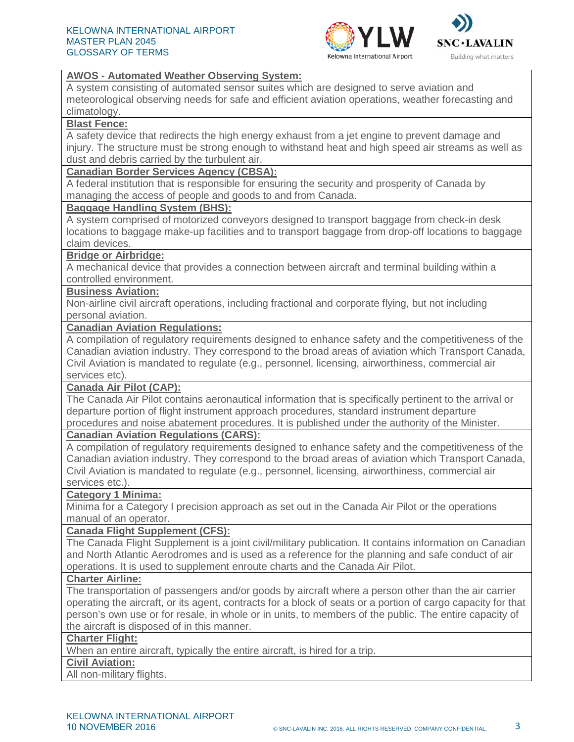



# **AWOS - Automated Weather Observing System:**

A system consisting of automated [sensor](https://en.wikipedia.org/wiki/Sensor) suites which are designed to serve [aviation](https://en.wikipedia.org/wiki/Aviation) and [meteorological](https://en.wikipedia.org/wiki/Meteorology) observing needs for safe and efficient aviation operations, [weather forecasting](https://en.wikipedia.org/wiki/Weather_forecasting) and [climatology.](https://en.wikipedia.org/wiki/Climatology)

# **Blast Fence:**

A safety device that redirects the high energy exhaust from a [jet engine](https://en.wikipedia.org/wiki/Jet_engine) to prevent damage and injury. The structure must be strong enough to withstand heat and high speed air streams as well as dust and debris carried by the turbulent air.

# **Canadian Border Services Agency (CBSA):**

A federal institution that is responsible for ensuring the security and prosperity of Canada by managing the access of people and goods to and from Canada.

# **Baggage Handling System (BHS):**

A system comprised of motorized conveyors designed to transport baggage from check-in desk locations to baggage make-up facilities and to transport baggage from drop-off locations to baggage claim devices.

#### **Bridge or Airbridge:**

A mechanical device that provides a connection between aircraft and terminal building within a controlled environment.

#### **Business Aviation:**

Non-airline civil aircraft operations, including fractional and corporate flying, but not including personal aviation.

# **Canadian Aviation Regulations:**

A compilation of regulatory requirements designed to enhance safety and the competitiveness of the Canadian aviation industry. They correspond to the broad areas of aviation which Transport Canada, Civil Aviation is mandated to regulate (e.g., personnel, licensing, airworthiness, commercial air services etc).

# **Canada Air Pilot (CAP):**

The Canada Air Pilot contains aeronautical information that is specifically pertinent to the arrival or departure portion of flight instrument approach procedures, standard instrument departure procedures and noise abatement procedures. It is published under the authority of the Minister.

# **Canadian Aviation Regulations (CARS):**

A compilation of regulatory requirements designed to enhance safety and the competitiveness of the Canadian aviation industry. They correspond to the broad areas of aviation which Transport Canada, Civil Aviation is mandated to regulate (e.g., personnel, licensing, airworthiness, commercial air services etc.).

# **Category 1 Minima:**

Minima for a Category I precision approach as set out in the Canada Air Pilot or the operations manual of an operator.

# **Canada Flight Supplement (CFS):**

The Canada Flight Supplement is a joint civil/military publication. It contains information on Canadian and North Atlantic Aerodromes and is used as a reference for the planning and safe conduct of air operations. It is used to supplement enroute charts and the Canada Air Pilot.

# **Charter Airline:**

The transportation of passengers and/or goods by aircraft where a person other than the air carrier operating the aircraft, or its agent, contracts for a block of seats or a portion of cargo capacity for that person's own use or for resale, in whole or in units, to members of the public. The entire capacity of the aircraft is disposed of in this manner.

# **Charter Flight:**

When an entire aircraft, typically the entire aircraft, is hired for a trip.

# **Civil Aviation:**

All non-military flights.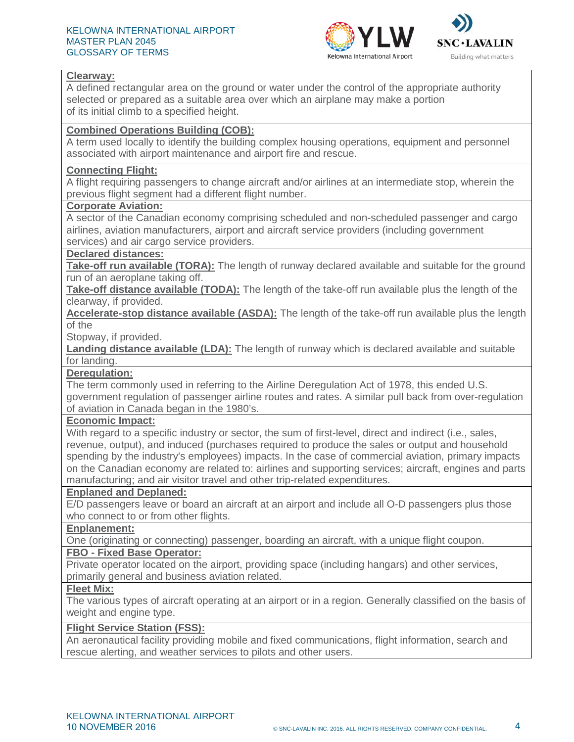



# **Clearway:**

A defined rectangular area on the ground or water under the control of the appropriate authority selected or prepared as a suitable area over which an airplane may make a portion of its initial climb to a specified height.

# **Combined Operations Building (COB):**

A term used locally to identify the building complex housing operations, equipment and personnel associated with airport maintenance and airport fire and rescue.

#### **Connecting Flight:**

A flight requiring passengers to change aircraft and/or airlines at an intermediate stop, wherein the previous flight segment had a different flight number.

#### **Corporate Aviation:**

A sector of the Canadian economy comprising scheduled and non-scheduled passenger and cargo airlines, aviation manufacturers, airport and aircraft service providers (including government services) and air cargo service providers.

#### **Declared distances:**

**Take-off run available (TORA):** The length of runway declared available and suitable for the ground run of an aeroplane taking off.

**Take-off distance available (TODA):** The length of the take-off run available plus the length of the clearway, if provided.

**Accelerate-stop distance available (ASDA):** The length of the take-off run available plus the length of the

Stopway, if provided.

**Landing distance available (LDA):** The length of runway which is declared available and suitable for landing.

**Deregulation:**

The term commonly used in referring to the Airline Deregulation Act of 1978, this ended U.S. government regulation of passenger airline routes and rates. A similar pull back from over-regulation of aviation in Canada began in the 1980's.

# **Economic Impact:**

With regard to a specific industry or sector, the sum of first-level, direct and indirect (i.e., sales, revenue, output), and induced (purchases required to produce the sales or output and household spending by the industry's employees) impacts. In the case of commercial aviation, primary impacts on the Canadian economy are related to: airlines and supporting services; aircraft, engines and parts manufacturing; and air visitor travel and other trip-related expenditures.

#### **Enplaned and Deplaned:**

E/D passengers leave or board an aircraft at an airport and include all O-D passengers plus those who connect to or from other flights.

#### **Enplanement:**

One (originating or connecting) passenger, boarding an aircraft, with a unique flight coupon.

# **FBO - Fixed Base Operator:**

Private operator located on the airport, providing space (including hangars) and other services, primarily general and business aviation related.

# **Fleet Mix:**

The various types of aircraft operating at an airport or in a region. Generally classified on the basis of weight and engine type.

# **Flight Service Station (FSS):**

An aeronautical facility providing mobile and fixed communications, flight information, search and rescue alerting, and weather services to pilots and other users.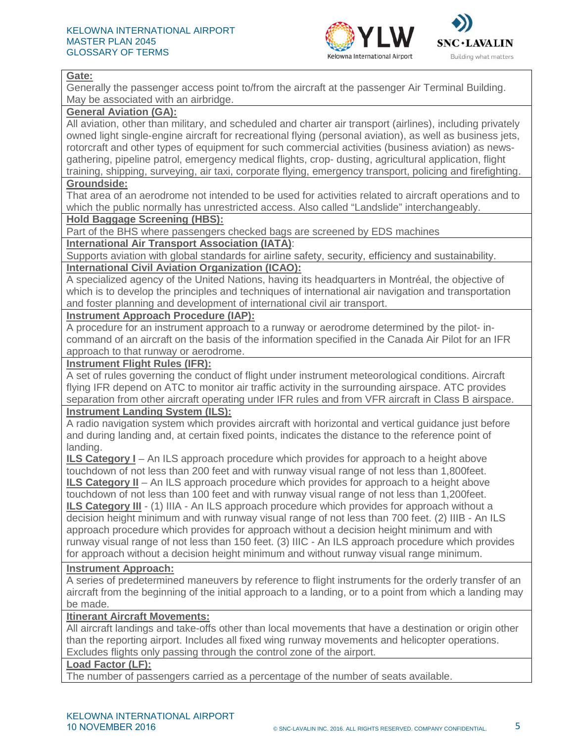



### **Gate:**

Generally the passenger access point to/from the aircraft at the passenger Air Terminal Building. May be associated with an [airbridge.](https://km.snclavalin.com/coe/Airport/Pages/Bridge-or-Airbridge.aspx)

# **General Aviation (GA):**

All aviation, other than military, and scheduled and charter air transport (airlines), including privately owned light single-engine aircraft for recreational flying (personal aviation), as well as business jets, rotorcraft and other types of equipment for such commercial activities (business aviation) as newsgathering, pipeline patrol, emergency medical flights, crop- dusting, agricultural application, flight training, shipping, surveying, air taxi, corporate flying, emergency transport, policing and firefighting.

# **Groundside:**

That area of an aerodrome not intended to be used for activities related to aircraft operations and to which the public normally has unrestricted access. Also called "Landslide" interchangeably.

# **Hold Baggage Screening (HBS):**

Part of the BHS where passengers checked bags are screened by EDS machines

# **International Air Transport Association (IATA)**:

Supports aviation with global standards for airline safety, security, efficiency and sustainability. **International Civil Aviation Organization (ICAO):**

A specialized agency of the United Nations, having its headquarters in Montréal, the objective of which is to develop the principles and techniques of international air navigation and transportation and foster planning and development of international civil air transport.

# **Instrument Approach Procedure (IAP):**

A procedure for an instrument approach to a runway or aerodrome determined by the pilot- incommand of an aircraft on the basis of the information specified in the Canada Air Pilot for an IFR approach to that runway or aerodrome.

# **Instrument Flight Rules (IFR):**

A set of rules governing the conduct of flight under instrument meteorological conditions. Aircraft flying IFR depend on ATC to monitor air traffic activity in the surrounding airspace. ATC provides separation from other aircraft operating under IFR rules and from VFR aircraft in Class B airspace.

# **Instrument Landing System (ILS):**

A radio navigation system which provides aircraft with horizontal and vertical guidance just before and during landing and, at certain fixed points, indicates the distance to the reference point of landing.

**ILS Category I** – An ILS approach procedure which provides for approach to a height above touchdown of not less than 200 feet and with runway visual range of not less than 1,800feet. **ILS Category II** – An ILS approach procedure which provides for approach to a height above touchdown of not less than 100 feet and with runway visual range of not less than 1,200feet. **ILS Category III** - (1) IIIA - An ILS approach procedure which provides for approach without a decision height minimum and with runway visual range of not less than 700 feet. (2) IIIB - An ILS approach procedure which provides for approach without a decision height minimum and with runway visual range of not less than 150 feet. (3) IIIC - An ILS approach procedure which provides for approach without a decision height minimum and without runway visual range minimum.

# **Instrument Approach:**

A series of predetermined maneuvers by reference to flight instruments for the orderly transfer of an aircraft from the beginning of the initial approach to a landing, or to a point from which a landing may be made.

# **Itinerant Aircraft Movements:**

All aircraft landings and take-offs other than local movements that have a destination or origin other than the reporting airport. Includes all fixed wing runway movements and helicopter operations. Excludes flights only passing through the control zone of the airport.

# **[Load Factor](https://km.snclavalin.com/coe/Airport/Pages/Load-Factor-LF.aspx) (LF):**

The number of passengers carried as a percentage of the number of seats available.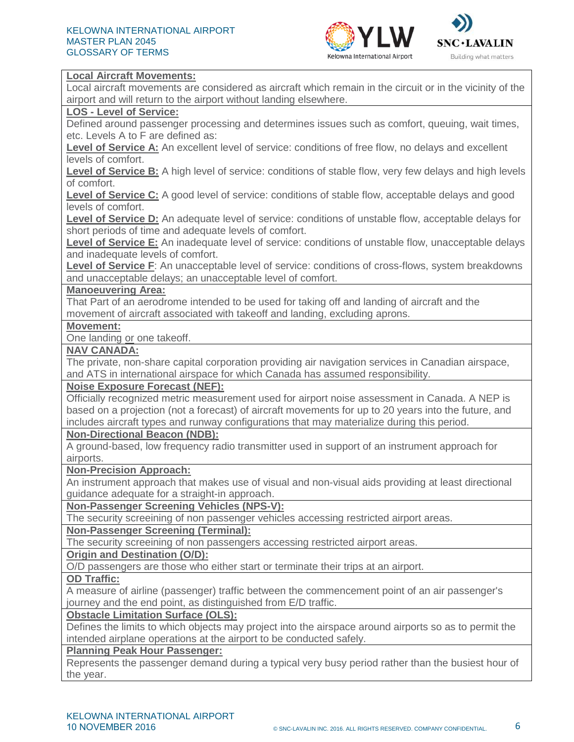



#### **Local Aircraft Movements:**

Local aircraft movements are considered as aircraft which remain in the circuit or in the vicinity of the airport and will return to the airport without landing elsewhere.

#### **LOS - Level of Service:**

Defined around passenger processing and determines issues such as comfort, queuing, wait times, etc. Levels A to F are defined as:

Level of Service A: An excellent level of service: conditions of free flow, no delays and excellent levels of comfort.

**Level of Service B:** A high level of service: conditions of stable flow, very few delays and high levels of comfort.

**Level of Service C:** A good level of service: conditions of stable flow, acceptable delays and good levels of comfort.

**Level of Service D:** An adequate level of service: conditions of unstable flow, acceptable delays for short periods of time and adequate levels of comfort.

**Level of Service E:** An inadequate level of service: conditions of unstable flow, unacceptable delays and inadequate levels of comfort.

**Level of Service F**: An unacceptable level of service: conditions of cross-flows, system breakdowns and unacceptable delays; an unacceptable level of comfort.

#### **Manoeuvering Area:**

That Part of an aerodrome intended to be used for taking off and landing of aircraft and the movement of aircraft associated with takeoff and landing, excluding aprons.

#### **Movement:**

One landing or one takeoff.

# **NAV CANADA:**

The private, non-share capital corporation providing air navigation services in Canadian airspace, and ATS in international airspace for which Canada has assumed responsibility.

#### **Noise Exposure Forecast (NEF):**

Officially recognized metric measurement used for airport noise assessment in Canada. A NEP is based on a projection (not a forecast) of aircraft movements for up to 20 years into the future, and includes aircraft types and runway configurations that may materialize during this period.

#### **Non-Directional Beacon (NDB):**

A ground-based, low frequency radio transmitter used in support of an instrument approach for airports.

#### **Non-Precision Approach:**

An instrument approach that makes use of visual and non-visual aids providing at least directional guidance adequate for a straight-in approach.

# **Non-Passenger Screening Vehicles (NPS-V):**

The security screeining of non passenger vehicles accessing restricted airport areas.

#### **Non-Passenger Screening (Terminal):**

The security screeining of non passengers accessing restricted airport areas.

#### **Origin and Destination (O/D):**

O/D passengers are those who either start or terminate their trips at an airport.

#### **OD Traffic:**

A measure of airline (passenger) traffic between the commencement point of an air passenger's journey and the end point, as distinguished from E/D traffic.

# **Obstacle Limitation Surface (OLS):**

Defines the limits to which objects may project into the airspace around airports so as to permit the intended airplane operations at the airport to be conducted safely.

#### **Planning Peak Hour Passenger:**

Represents the passenger demand during a typical very busy period rather than the busiest hour of the year.